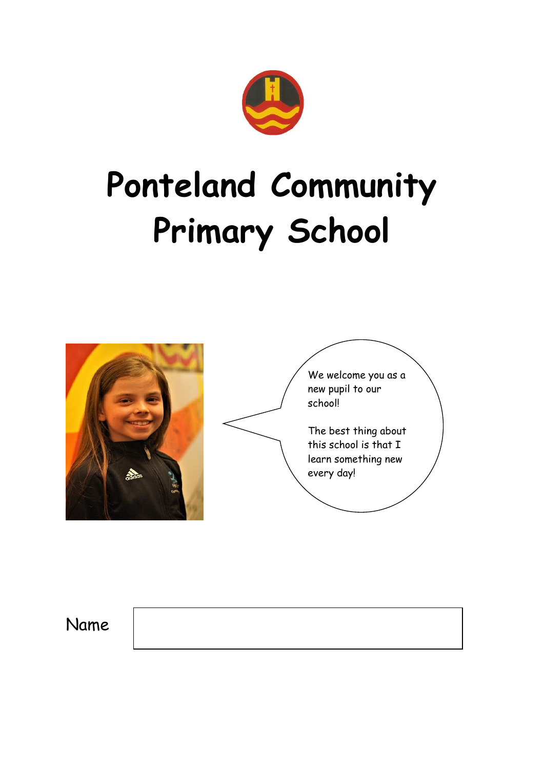

# **Ponteland Community Primary School**



Name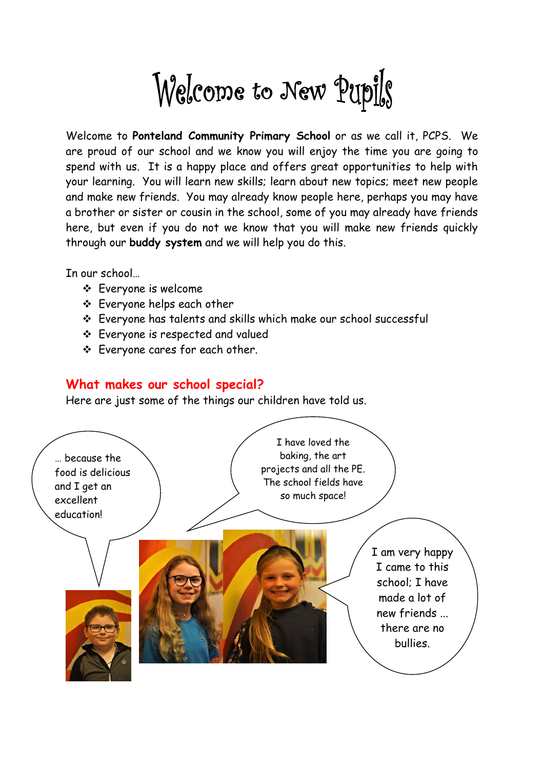Welcome to New Pupils

Welcome to **Ponteland Community Primary School** or as we call it, PCPS. We are proud of our school and we know you will enjoy the time you are going to spend with us. It is a happy place and offers great opportunities to help with your learning. You will learn new skills; learn about new topics; meet new people and make new friends. You may already know people here, perhaps you may have a brother or sister or cousin in the school, some of you may already have friends here, but even if you do not we know that you will make new friends quickly through our **buddy system** and we will help you do this.

In our school…

- Everyone is welcome
- Everyone helps each other
- Everyone has talents and skills which make our school successful
- Everyone is respected and valued
- Everyone cares for each other.

#### **What makes our school special?**

Here are just some of the things our children have told us.

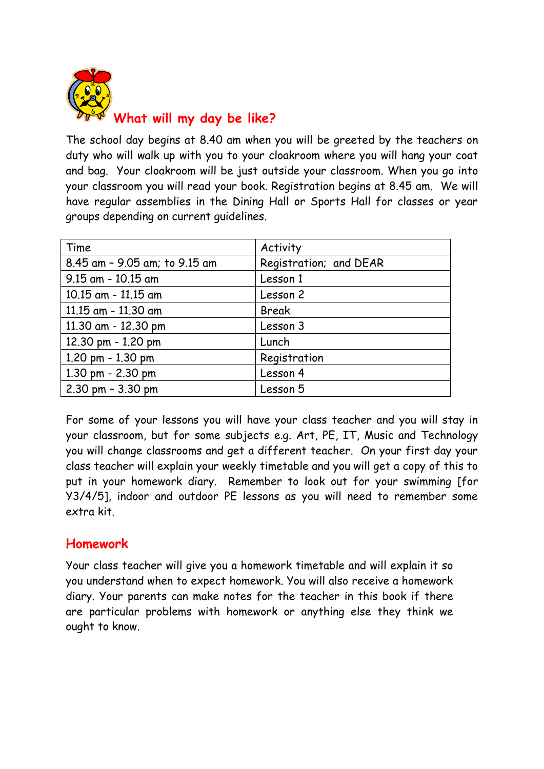

The school day begins at 8.40 am when you will be greeted by the teachers on duty who will walk up with you to your cloakroom where you will hang your coat and bag. Your cloakroom will be just outside your classroom. When you go into your classroom you will read your book. Registration begins at 8.45 am. We will have regular assemblies in the Dining Hall or Sports Hall for classes or year groups depending on current guidelines.

| Time                                | Activity               |
|-------------------------------------|------------------------|
| 8.45 am - 9.05 am; to 9.15 am       | Registration; and DEAR |
| $9.15$ am - $10.15$ am              | Lesson 1               |
| 10.15 am - 11.15 am                 | Lesson 2               |
| 11.15 am - 11.30 am                 | Break                  |
| 11.30 am - 12.30 pm                 | Lesson 3               |
| 12.30 pm - 1.20 pm                  | Lunch                  |
| 1.20 pm - 1.30 pm                   | Registration           |
| 1.30 pm - 2.30 pm                   | Lesson 4               |
| $2.30 \text{ pm} - 3.30 \text{ pm}$ | Lesson 5               |

For some of your lessons you will have your class teacher and you will stay in your classroom, but for some subjects e.g. Art, PE, IT, Music and Technology you will change classrooms and get a different teacher. On your first day your class teacher will explain your weekly timetable and you will get a copy of this to put in your homework diary. Remember to look out for your swimming [for Y3/4/5], indoor and outdoor PE lessons as you will need to remember some extra kit.

# **Homework**

Your class teacher will give you a homework timetable and will explain it so you understand when to expect homework. You will also receive a homework diary. Your parents can make notes for the teacher in this book if there are particular problems with homework or anything else they think we ought to know.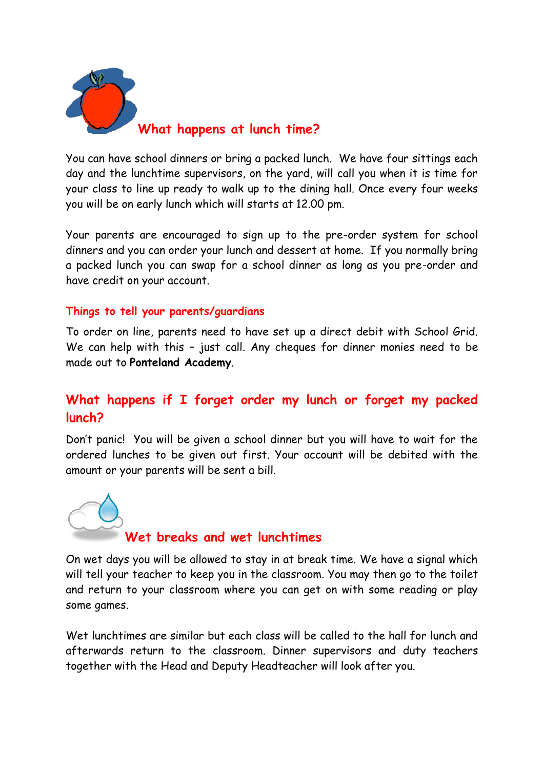

You can have school dinners or bring a packed lunch. We have four sittings each day and the lunchtime supervisors, on the yard, will call you when it is time for your class to line up ready to walk up to the dining hall. Once every four weeks you will be on early lunch which will starts at 12.00 pm.

Your parents are encouraged to sign up to the pre-order system for school dinners and you can order your lunch and dessert at home. If you normally bring a packed lunch you can swap for a school dinner as long as you pre-order and have credit on your account.

#### **Things to tell your parents/guardians**

To order on line, parents need to have set up a direct debit with School Grid. We can help with this - just call. Any cheques for dinner monies need to be made out to **Ponteland Academy**.

# **What happens if I forget order my lunch or forget my packed lunch?**

Don't panic! You will be given a school dinner but you will have to wait for the ordered lunches to be given out first. Your account will be debited with the amount or your parents will be sent a bill.



# **Wet breaks and wet lunchtimes**

On wet days you will be allowed to stay in at break time. We have a signal which will tell your teacher to keep you in the classroom. You may then go to the toilet and return to your classroom where you can get on with some reading or play some games.

Wet lunchtimes are similar but each class will be called to the hall for lunch and afterwards return to the classroom. Dinner supervisors and duty teachers together with the Head and Deputy Headteacher will look after you.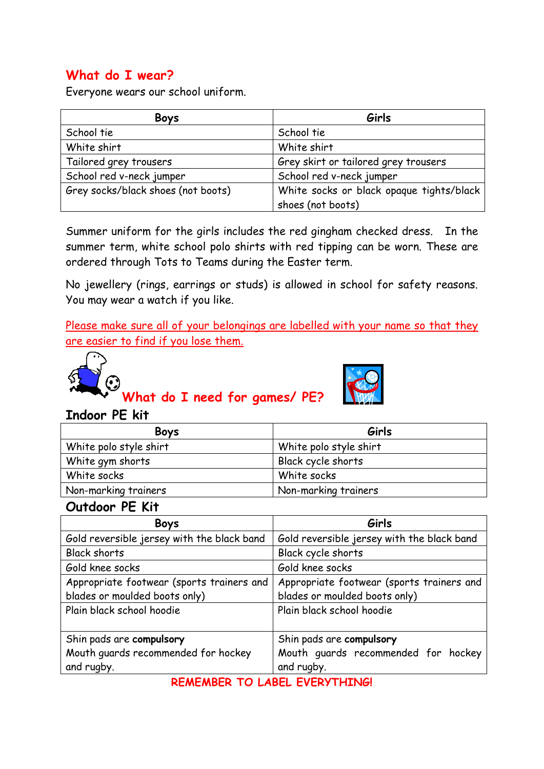# **What do I wear?**

Everyone wears our school uniform.

| <b>Boys</b>                        | Girls                                    |
|------------------------------------|------------------------------------------|
| School tie                         | School tie                               |
| White shirt                        | White shirt                              |
| Tailored grey trousers             | Grey skirt or tailored grey trousers     |
| School red v-neck jumper           | School red v-neck jumper                 |
| Grey socks/black shoes (not boots) | White socks or black opaque tights/black |
|                                    | shoes (not boots)                        |

Summer uniform for the girls includes the red gingham checked dress. In the summer term, white school polo shirts with red tipping can be worn. These are ordered through Tots to Teams during the Easter term.

No jewellery (rings, earrings or studs) is allowed in school for safety reasons. You may wear a watch if you like.

Please make sure all of your belongings are labelled with your name so that they are easier to find if you lose them.



**What do I need for games/ PE?**



#### **Indoor PE kit**

| <b>Boys</b>            | Girls                  |
|------------------------|------------------------|
| White polo style shirt | White polo style shirt |
| White gym shorts       | Black cycle shorts     |
| White socks            | White socks            |
| Non-marking trainers   | Non-marking trainers   |

#### **Outdoor PE Kit**

| <b>Boys</b>                                | Girls                                      |
|--------------------------------------------|--------------------------------------------|
| Gold reversible jersey with the black band | Gold reversible jersey with the black band |
| <b>Black shorts</b>                        | Black cycle shorts                         |
| Gold knee socks                            | Gold knee socks                            |
| Appropriate footwear (sports trainers and  | Appropriate footwear (sports trainers and  |
| blades or moulded boots only)              | blades or moulded boots only)              |
| Plain black school hoodie                  | Plain black school hoodie                  |
|                                            |                                            |
| Shin pads are compulsory                   | Shin pads are compulsory                   |
| Mouth guards recommended for hockey        | Mouth guards recommended for hockey        |
| and rugby.                                 | and rugby.                                 |

**REMEMBER TO LABEL EVERYTHING!**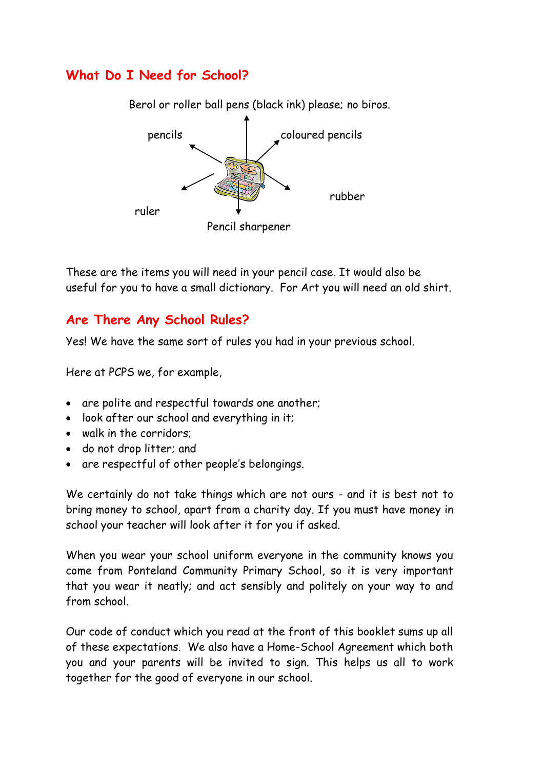# **What Do I Need for School?**

Berol or roller ball pens (black ink) please; no biros. pencils coloured pencils rubber ruler Pencil sharpener

These are the items you will need in your pencil case. It would also be useful for you to have a small dictionary. For Art you will need an old shirt.

## **Are There Any School Rules?**

Yes! We have the same sort of rules you had in your previous school.

Here at PCPS we, for example,

- are polite and respectful towards one another;
- look after our school and everything in it;
- walk in the corridors:
- do not drop litter; and
- are respectful of other people's belongings.

We certainly do not take things which are not ours - and it is best not to bring money to school, apart from a charity day. If you must have money in school your teacher will look after it for you if asked.

When you wear your school uniform everyone in the community knows you come from Ponteland Community Primary School, so it is very important that you wear it neatly; and act sensibly and politely on your way to and from school.

Our code of conduct which you read at the front of this booklet sums up all of these expectations. We also have a Home-School Agreement which both you and your parents will be invited to sign. This helps us all to work together for the good of everyone in our school.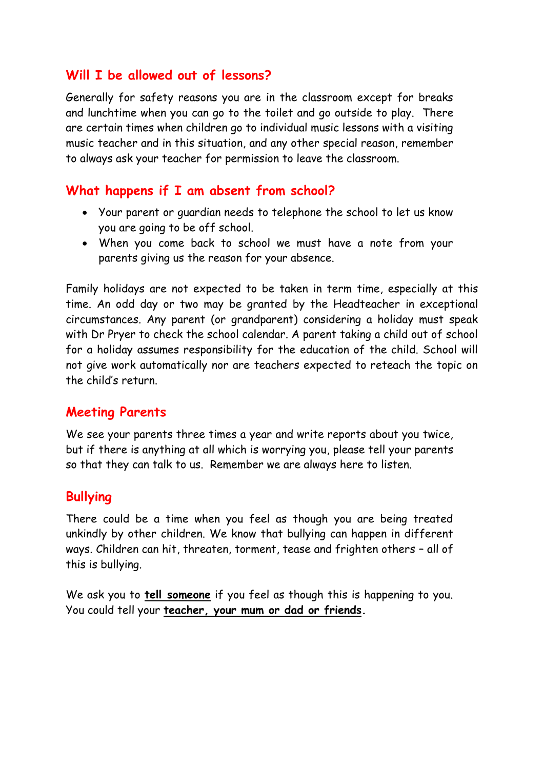#### **Will I be allowed out of lessons?**

Generally for safety reasons you are in the classroom except for breaks and lunchtime when you can go to the toilet and go outside to play. There are certain times when children go to individual music lessons with a visiting music teacher and in this situation, and any other special reason, remember to always ask your teacher for permission to leave the classroom.

## **What happens if I am absent from school?**

- Your parent or guardian needs to telephone the school to let us know you are going to be off school.
- When you come back to school we must have a note from your parents giving us the reason for your absence.

Family holidays are not expected to be taken in term time, especially at this time. An odd day or two may be granted by the Headteacher in exceptional circumstances. Any parent (or grandparent) considering a holiday must speak with Dr Pryer to check the school calendar. A parent taking a child out of school for a holiday assumes responsibility for the education of the child. School will not give work automatically nor are teachers expected to reteach the topic on the child's return.

# **Meeting Parents**

We see your parents three times a year and write reports about you twice, but if there is anything at all which is worrying you, please tell your parents so that they can talk to us. Remember we are always here to listen.

# **Bullying**

There could be a time when you feel as though you are being treated unkindly by other children. We know that bullying can happen in different ways. Children can hit, threaten, torment, tease and frighten others – all of this is bullying.

We ask you to **tell someone** if you feel as though this is happening to you. You could tell your **teacher, your mum or dad or friends.**